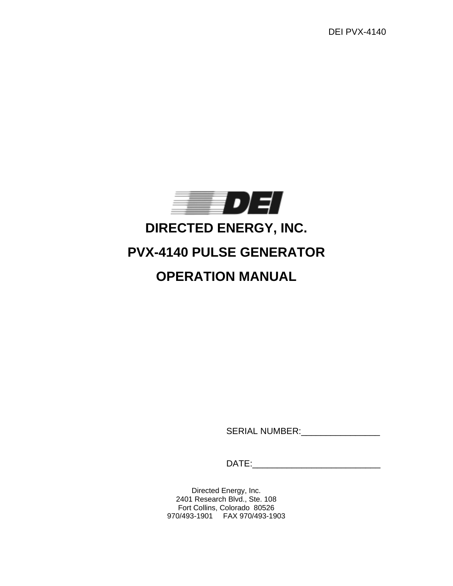DEI PVX-4140



# **DIRECTED ENERGY, INC.**

# **PVX-4140 PULSE GENERATOR**

# **OPERATION MANUAL**

SERIAL NUMBER:\_\_\_\_\_\_\_\_\_\_\_\_\_\_\_\_

DATE:\_\_\_\_\_\_\_\_\_\_\_\_\_\_\_\_\_\_\_\_\_\_\_\_\_\_

Directed Energy, Inc. 2401 Research Blvd., Ste. 108 Fort Collins, Colorado 80526 970/493-1901 FAX 970/493-1903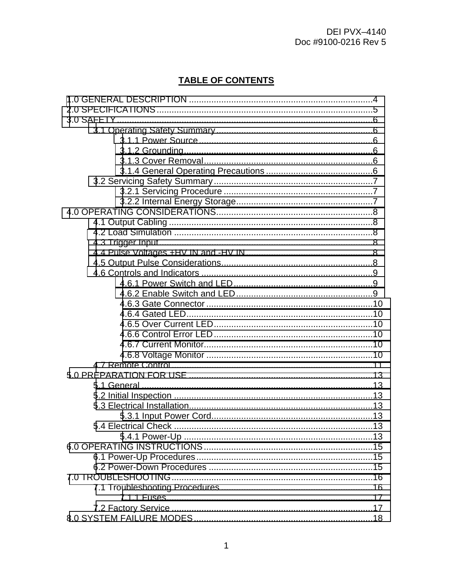# **TABLE OF CONTENTS**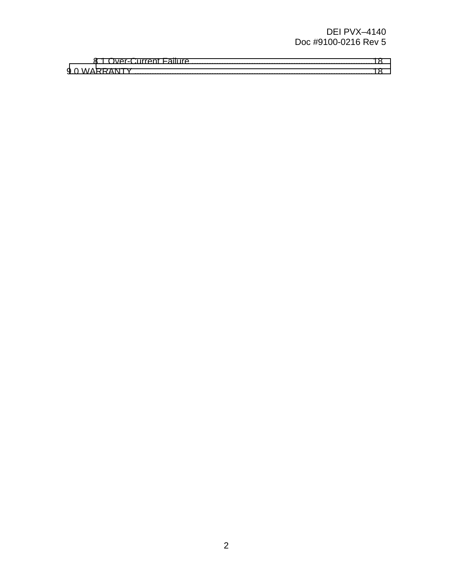## **DEI PVX-4140** Doc #9100-0216 Rev 5

| 9.0 WARRANTY. |  |
|---------------|--|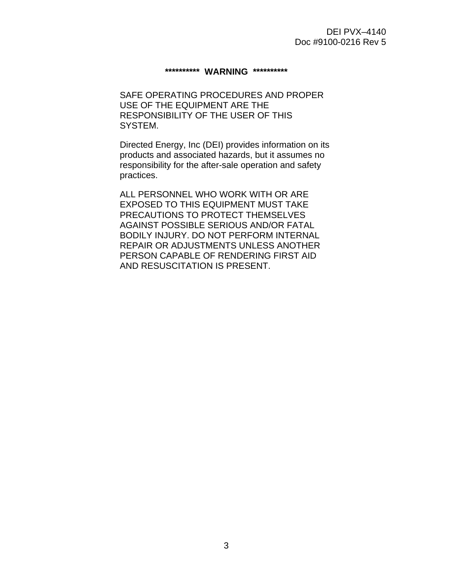#### **\*\*\*\*\*\*\*\*\*\* WARNING \*\*\*\*\*\*\*\*\*\***

SAFE OPERATING PROCEDURES AND PROPER USE OF THE EQUIPMENT ARE THE RESPONSIBILITY OF THE USER OF THIS SYSTEM.

Directed Energy, Inc (DEI) provides information on its products and associated hazards, but it assumes no responsibility for the after-sale operation and safety practices.

ALL PERSONNEL WHO WORK WITH OR ARE EXPOSED TO THIS EQUIPMENT MUST TAKE PRECAUTIONS TO PROTECT THEMSELVES AGAINST POSSIBLE SERIOUS AND/OR FATAL BODILY INJURY. DO NOT PERFORM INTERNAL REPAIR OR ADJUSTMENTS UNLESS ANOTHER PERSON CAPABLE OF RENDERING FIRST AID AND RESUSCITATION IS PRESENT.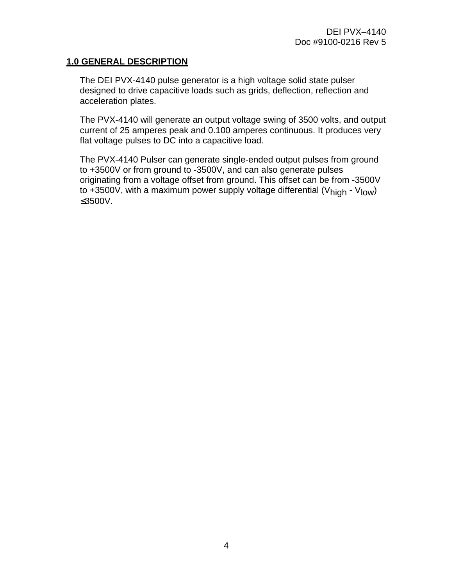#### <span id="page-4-0"></span>**1.0 GENERAL DESCRIPTION**

The DEI PVX-4140 pulse generator is a high voltage solid state pulser designed to drive capacitive loads such as grids, deflection, reflection and acceleration plates.

The PVX-4140 will generate an output voltage swing of 3500 volts, and output current of 25 amperes peak and 0.100 amperes continuous. It produces very flat voltage pulses to DC into a capacitive load.

The PVX-4140 Pulser can generate single-ended output pulses from ground to +3500V or from ground to -3500V, and can also generate pulses originating from a voltage offset from ground. This offset can be from -3500V to +3500V, with a maximum power supply voltage differential (V<sub>high</sub> - V<sub>low</sub>) ≤3500V.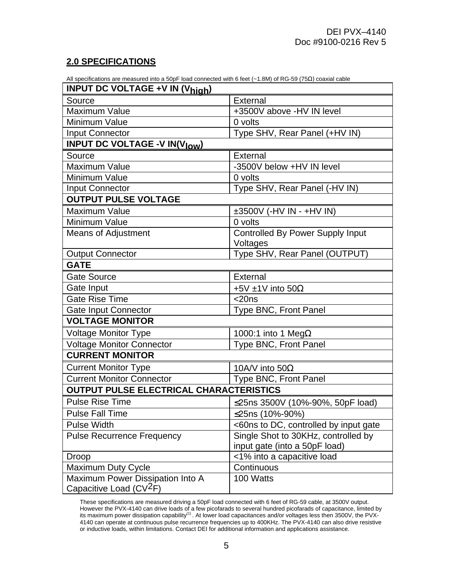## <span id="page-5-0"></span>**2.0 SPECIFICATIONS**

All specifications are measured into a 50pF load connected with 6 feet (~1.8M) of RG-59 (75Ω) coaxial cable

| <b>INPUT DC VOLTAGE +V IN (Vhigh)</b>                                   |                                                     |  |  |  |
|-------------------------------------------------------------------------|-----------------------------------------------------|--|--|--|
| Source                                                                  | External                                            |  |  |  |
| <b>Maximum Value</b>                                                    | +3500V above -HV IN level                           |  |  |  |
| Minimum Value                                                           | 0 volts                                             |  |  |  |
| <b>Input Connector</b>                                                  | Type SHV, Rear Panel (+HV IN)                       |  |  |  |
| <b>INPUT DC VOLTAGE -V IN(V<sub>low</sub>)</b>                          |                                                     |  |  |  |
| Source                                                                  | External                                            |  |  |  |
| <b>Maximum Value</b>                                                    | -3500V below +HV IN level                           |  |  |  |
| Minimum Value                                                           | 0 volts                                             |  |  |  |
| <b>Input Connector</b>                                                  | Type SHV, Rear Panel (-HV IN)                       |  |  |  |
| <b>OUTPUT PULSE VOLTAGE</b>                                             |                                                     |  |  |  |
| <b>Maximum Value</b>                                                    | $\pm 3500V$ (-HV IN - +HV IN)                       |  |  |  |
| Minimum Value                                                           | 0 volts                                             |  |  |  |
| <b>Means of Adjustment</b>                                              | <b>Controlled By Power Supply Input</b><br>Voltages |  |  |  |
| <b>Output Connector</b>                                                 | Type SHV, Rear Panel (OUTPUT)                       |  |  |  |
| <b>GATE</b>                                                             |                                                     |  |  |  |
| <b>Gate Source</b>                                                      | <b>External</b>                                     |  |  |  |
| Gate Input                                                              | +5V ±1V into 50 $\Omega$                            |  |  |  |
| <b>Gate Rise Time</b>                                                   | $<$ 20ns                                            |  |  |  |
| <b>Gate Input Connector</b>                                             | Type BNC, Front Panel                               |  |  |  |
| <b>VOLTAGE MONITOR</b>                                                  |                                                     |  |  |  |
| <b>Voltage Monitor Type</b>                                             | 1000:1 into 1 Meg $\Omega$                          |  |  |  |
| <b>Voltage Monitor Connector</b>                                        | Type BNC, Front Panel                               |  |  |  |
| <b>CURRENT MONITOR</b>                                                  |                                                     |  |  |  |
| <b>Current Monitor Type</b>                                             | 10A/V into $50\Omega$                               |  |  |  |
| <b>Current Monitor Connector</b>                                        | Type BNC, Front Panel                               |  |  |  |
| <b>OUTPUT PULSE ELECTRICAL CHARACTERISTICS</b>                          |                                                     |  |  |  |
| <b>Pulse Rise Time</b>                                                  | ≤25ns 3500V (10%-90%, 50pF load)                    |  |  |  |
| <b>Pulse Fall Time</b>                                                  | ≤25ns (10%-90%)                                     |  |  |  |
| <b>Pulse Width</b>                                                      | <60ns to DC, controlled by input gate               |  |  |  |
| <b>Pulse Recurrence Frequency</b>                                       | Single Shot to 30KHz, controlled by                 |  |  |  |
|                                                                         | input gate (into a 50pF load)                       |  |  |  |
| Droop                                                                   | <1% into a capacitive load                          |  |  |  |
| Maximum Duty Cycle                                                      | Continuous                                          |  |  |  |
| Maximum Power Dissipation Into A<br>Capacitive Load (CV <sup>2</sup> F) | 100 Watts                                           |  |  |  |

These specifications are measured driving a 50pF load connected with 6 feet of RG-59 cable, at 3500V output. However the PVX-4140 can drive loads of a few picofarads to several hundred picofarads of capacitance, limited by<br>its maximum power dissipation capability<sup>(1)</sup>. At lower load capacitances and/or voltages less then 3500V, t 4140 can operate at continuous pulse recurrence frequencies up to 400KHz. The PVX-4140 can also drive resistive or inductive loads, within limitations. Contact DEI for additional information and applications assistance.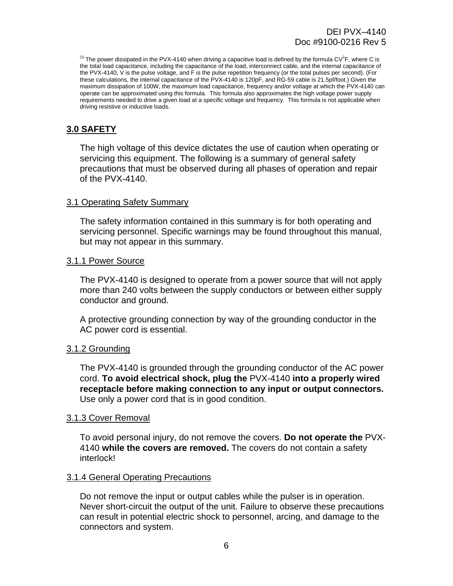<span id="page-6-0"></span><sup>(1)</sup> The power dissipated in the PVX-4140 when driving a capacitive load is defined by the formula CV<sup>2</sup>F, where C is the total load capacitance, including the capacitance of the load, interconnect cable, and the internal capacitance of the PVX-4140, V is the pulse voltage, and F is the pulse repetition frequency (or the total pulses per second). (For these calculations, the internal capacitance of the PVX-4140 is 120pF, and RG-59 cable is 21.5pf/foot.) Given the maximum dissipation of 100W, the maximum load capacitance, frequency and/or voltage at which the PVX-4140 can operate can be approximated using this formula. This formula also approximates the high voltage power supply requirements needed to drive a given load at a specific voltage and frequency. This formula is not applicable when driving resistive or inductive loads.

# **3.0 SAFETY**

The high voltage of this device dictates the use of caution when operating or servicing this equipment. The following is a summary of general safety precautions that must be observed during all phases of operation and repair of the PVX-4140.

#### 3.1 Operating Safety Summary

The safety information contained in this summary is for both operating and servicing personnel. Specific warnings may be found throughout this manual, but may not appear in this summary.

#### 3.1.1 Power Source

The PVX-4140 is designed to operate from a power source that will not apply more than 240 volts between the supply conductors or between either supply conductor and ground.

A protective grounding connection by way of the grounding conductor in the AC power cord is essential.

#### 3.1.2 Grounding

The PVX-4140 is grounded through the grounding conductor of the AC power cord. **To avoid electrical shock, plug the** PVX-4140 **into a properly wired receptacle before making connection to any input or output connectors.** Use only a power cord that is in good condition.

#### 3.1.3 Cover Removal

To avoid personal injury, do not remove the covers. **Do not operate the** PVX-4140 **while the covers are removed.** The covers do not contain a safety interlock!

#### 3.1.4 General Operating Precautions

Do not remove the input or output cables while the pulser is in operation. Never short-circuit the output of the unit. Failure to observe these precautions can result in potential electric shock to personnel, arcing, and damage to the connectors and system.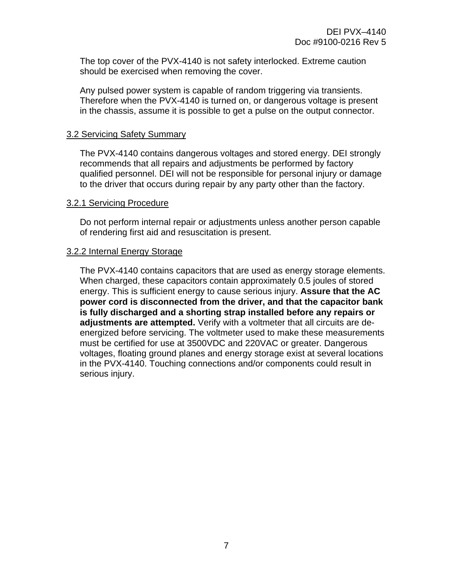<span id="page-7-0"></span>The top cover of the PVX-4140 is not safety interlocked. Extreme caution should be exercised when removing the cover.

Any pulsed power system is capable of random triggering via transients. Therefore when the PVX-4140 is turned on, or dangerous voltage is present in the chassis, assume it is possible to get a pulse on the output connector.

#### 3.2 Servicing Safety Summary

The PVX-4140 contains dangerous voltages and stored energy. DEI strongly recommends that all repairs and adjustments be performed by factory qualified personnel. DEI will not be responsible for personal injury or damage to the driver that occurs during repair by any party other than the factory.

#### 3.2.1 Servicing Procedure

Do not perform internal repair or adjustments unless another person capable of rendering first aid and resuscitation is present.

#### 3.2.2 Internal Energy Storage

The PVX-4140 contains capacitors that are used as energy storage elements. When charged, these capacitors contain approximately 0.5 joules of stored energy. This is sufficient energy to cause serious injury. **Assure that the AC power cord is disconnected from the driver, and that the capacitor bank is fully discharged and a shorting strap installed before any repairs or adjustments are attempted.** Verify with a voltmeter that all circuits are deenergized before servicing. The voltmeter used to make these measurements must be certified for use at 3500VDC and 220VAC or greater. Dangerous voltages, floating ground planes and energy storage exist at several locations in the PVX-4140. Touching connections and/or components could result in serious injury.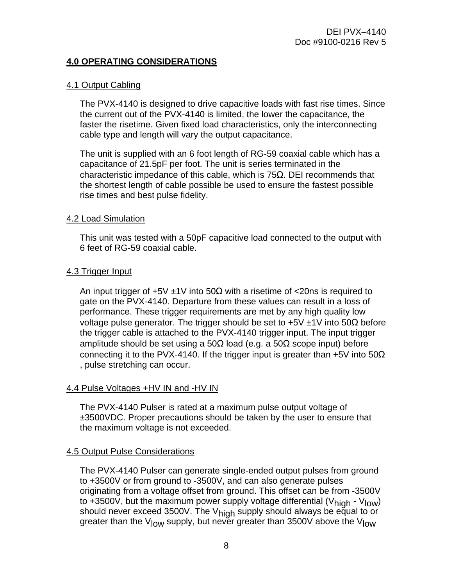#### <span id="page-8-0"></span>**4.0 OPERATING CONSIDERATIONS**

#### 4.1 Output Cabling

The PVX-4140 is designed to drive capacitive loads with fast rise times. Since the current out of the PVX-4140 is limited, the lower the capacitance, the faster the risetime. Given fixed load characteristics, only the interconnecting cable type and length will vary the output capacitance.

The unit is supplied with an 6 foot length of RG-59 coaxial cable which has a capacitance of 21.5pF per foot. The unit is series terminated in the characteristic impedance of this cable, which is  $75\Omega$ . DEI recommends that the shortest length of cable possible be used to ensure the fastest possible rise times and best pulse fidelity.

#### 4.2 Load Simulation

This unit was tested with a 50pF capacitive load connected to the output with 6 feet of RG-59 coaxial cable.

#### 4.3 Trigger Input

An input trigger of  $+5V \pm 1V$  into  $50\Omega$  with a risetime of  $\lt$  20ns is required to gate on the PVX-4140. Departure from these values can result in a loss of performance. These trigger requirements are met by any high quality low voltage pulse generator. The trigger should be set to  $+5V \pm 1V$  into 50Ω before the trigger cable is attached to the PVX-4140 trigger input. The input trigger amplitude should be set using a 50Ω load (e.g. a 50Ω scope input) before connecting it to the PVX-4140. If the trigger input is greater than +5V into 50 $\Omega$ , pulse stretching can occur.

#### 4.4 Pulse Voltages +HV IN and -HV IN

The PVX-4140 Pulser is rated at a maximum pulse output voltage of ±3500VDC. Proper precautions should be taken by the user to ensure that the maximum voltage is not exceeded.

#### 4.5 Output Pulse Considerations

The PVX-4140 Pulser can generate single-ended output pulses from ground to +3500V or from ground to -3500V, and can also generate pulses originating from a voltage offset from ground. This offset can be from -3500V to +3500V, but the maximum power supply voltage differential (V<sub>high</sub> - V<sub>low</sub>) should never exceed 3500V. The V<sub>high</sub> supply should always be equal to or greater than the V<sub>low</sub> supply, but never greater than 3500V above the V<sub>low</sub>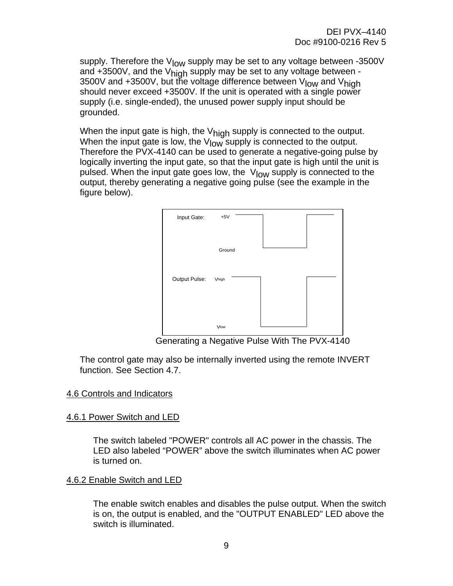<span id="page-9-0"></span>supply. Therefore the  $V_{\text{low}}$  supply may be set to any voltage between -3500V and  $+3500V$ , and the  $V_{\text{high}}$  supply may be set to any voltage between -3500V and +3500V, but the voltage difference between V<sub>low</sub> and V<sub>high</sub> should never exceed +3500V. If the unit is operated with a single power supply (i.e. single-ended), the unused power supply input should be grounded.

When the input gate is high, the  $V_{\text{hidh}}$  supply is connected to the output. When the input gate is low, the  $V_{low}$  supply is connected to the output. Therefore the PVX-4140 can be used to generate a negative-going pulse by logically inverting the input gate, so that the input gate is high until the unit is pulsed. When the input gate goes low, the  $V_{\text{low}}$  supply is connected to the output, thereby generating a negative going pulse (see the example in the figure below).



Generating a Negative Pulse With The PVX-4140

The control gate may also be internally inverted using the remote INVERT function. See Section 4.7.

#### 4.6 Controls and Indicators

#### 4.6.1 Power Switch and LED

The switch labeled "POWER" controls all AC power in the chassis. The LED also labeled "POWER" above the switch illuminates when AC power is turned on.

#### 4.6.2 Enable Switch and LED

The enable switch enables and disables the pulse output. When the switch is on, the output is enabled, and the "OUTPUT ENABLED" LED above the switch is illuminated.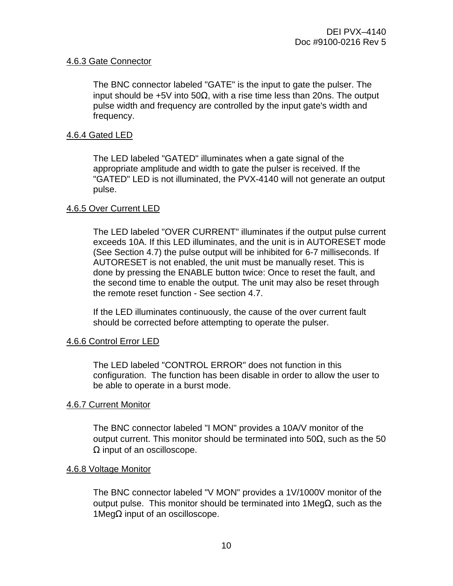#### <span id="page-10-0"></span>4.6.3 Gate Connector

The BNC connector labeled "GATE" is the input to gate the pulser. The input should be +5V into 50Ω, with a rise time less than 20ns. The output pulse width and frequency are controlled by the input gate's width and frequency.

#### 4.6.4 Gated LED

The LED labeled "GATED" illuminates when a gate signal of the appropriate amplitude and width to gate the pulser is received. If the "GATED" LED is not illuminated, the PVX-4140 will not generate an output pulse.

#### 4.6.5 Over Current LED

The LED labeled "OVER CURRENT" illuminates if the output pulse current exceeds 10A. If this LED illuminates, and the unit is in AUTORESET mode (See Section 4.7) the pulse output will be inhibited for 6-7 milliseconds. If AUTORESET is not enabled, the unit must be manually reset. This is done by pressing the ENABLE button twice: Once to reset the fault, and the second time to enable the output. The unit may also be reset through the remote reset function - See section 4.7.

If the LED illuminates continuously, the cause of the over current fault should be corrected before attempting to operate the pulser.

#### 4.6.6 Control Error LED

The LED labeled "CONTROL ERROR" does not function in this configuration. The function has been disable in order to allow the user to be able to operate in a burst mode.

#### 4.6.7 Current Monitor

The BNC connector labeled "I MON" provides a 10A/V monitor of the output current. This monitor should be terminated into 50Ω, such as the 50  $\Omega$  input of an oscilloscope.

#### 4.6.8 Voltage Monitor

The BNC connector labeled "V MON" provides a 1V/1000V monitor of the output pulse. This monitor should be terminated into 1MegΩ, such as the 1MegΩ input of an oscilloscope.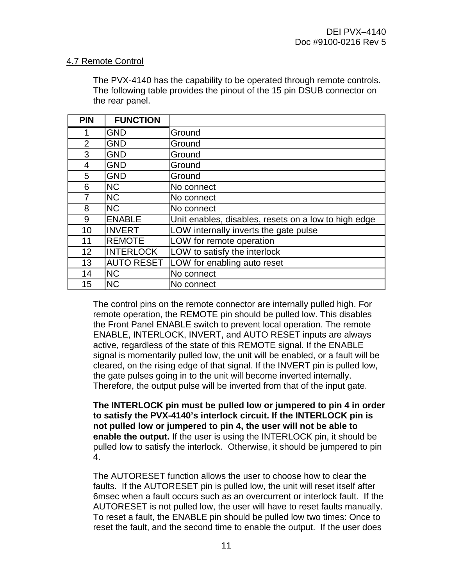#### <span id="page-11-0"></span>4.7 Remote Control

The PVX-4140 has the capability to be operated through remote controls. The following table provides the pinout of the 15 pin DSUB connector on the rear panel.

| <b>PIN</b>     | <b>FUNCTION</b>   |                                                      |
|----------------|-------------------|------------------------------------------------------|
|                | <b>GND</b>        | Ground                                               |
| $\overline{2}$ | <b>GND</b>        | Ground                                               |
| 3              | <b>GND</b>        | Ground                                               |
| 4              | <b>GND</b>        | Ground                                               |
| 5              | <b>GND</b>        | Ground                                               |
| 6              | <b>NC</b>         | No connect                                           |
| 7              | <b>NC</b>         | No connect                                           |
| 8              | <b>NC</b>         | No connect                                           |
| 9              | <b>ENABLE</b>     | Unit enables, disables, resets on a low to high edge |
| 10             | <b>INVERT</b>     | LOW internally inverts the gate pulse                |
| 11             | <b>REMOTE</b>     | LOW for remote operation                             |
| 12             | <b>INTERLOCK</b>  | LOW to satisfy the interlock                         |
| 13             | <b>AUTO RESET</b> | LOW for enabling auto reset                          |
| 14             | <b>NC</b>         | No connect                                           |
| 15             | <b>NC</b>         | No connect                                           |

The control pins on the remote connector are internally pulled high. For remote operation, the REMOTE pin should be pulled low. This disables the Front Panel ENABLE switch to prevent local operation. The remote ENABLE, INTERLOCK, INVERT, and AUTO RESET inputs are always active, regardless of the state of this REMOTE signal. If the ENABLE signal is momentarily pulled low, the unit will be enabled, or a fault will be cleared, on the rising edge of that signal. If the INVERT pin is pulled low, the gate pulses going in to the unit will become inverted internally. Therefore, the output pulse will be inverted from that of the input gate.

**The INTERLOCK pin must be pulled low or jumpered to pin 4 in order to satisfy the PVX-4140's interlock circuit. If the INTERLOCK pin is not pulled low or jumpered to pin 4, the user will not be able to enable the output.** If the user is using the INTERLOCK pin, it should be pulled low to satisfy the interlock. Otherwise, it should be jumpered to pin 4.

The AUTORESET function allows the user to choose how to clear the faults. If the AUTORESET pin is pulled low, the unit will reset itself after 6msec when a fault occurs such as an overcurrent or interlock fault. If the AUTORESET is not pulled low, the user will have to reset faults manually. To reset a fault, the ENABLE pin should be pulled low two times: Once to reset the fault, and the second time to enable the output. If the user does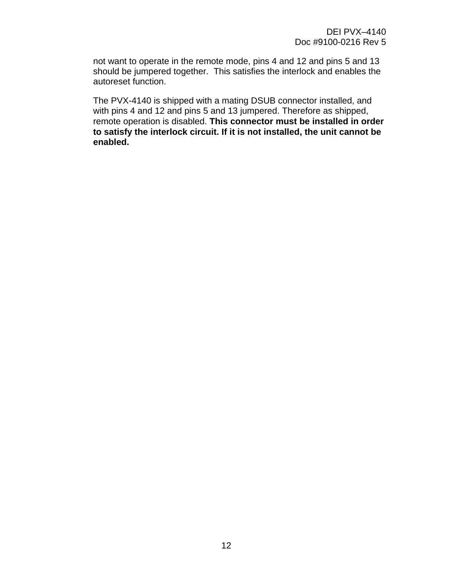not want to operate in the remote mode, pins 4 and 12 and pins 5 and 13 should be jumpered together. This satisfies the interlock and enables the autoreset function.

The PVX-4140 is shipped with a mating DSUB connector installed, and with pins 4 and 12 and pins 5 and 13 jumpered. Therefore as shipped, remote operation is disabled. **This connector must be installed in order to satisfy the interlock circuit. If it is not installed, the unit cannot be enabled.**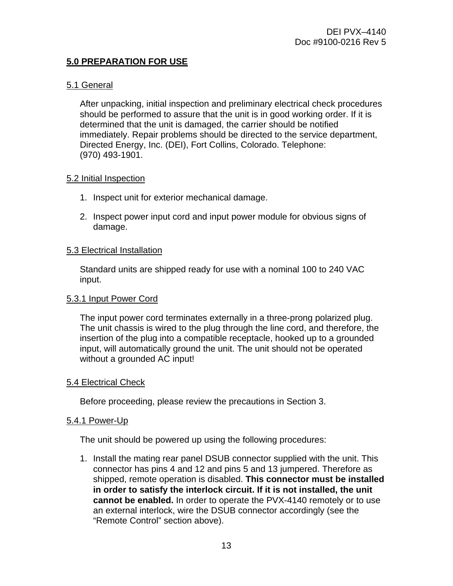# <span id="page-13-0"></span>**5.0 PREPARATION FOR USE**

### 5.1 General

After unpacking, initial inspection and preliminary electrical check procedures should be performed to assure that the unit is in good working order. If it is determined that the unit is damaged, the carrier should be notified immediately. Repair problems should be directed to the service department, Directed Energy, Inc. (DEI), Fort Collins, Colorado. Telephone: (970) 493-1901.

#### 5.2 Initial Inspection

- 1. Inspect unit for exterior mechanical damage.
- 2. Inspect power input cord and input power module for obvious signs of damage.

#### 5.3 Electrical Installation

Standard units are shipped ready for use with a nominal 100 to 240 VAC input.

#### 5.3.1 Input Power Cord

The input power cord terminates externally in a three-prong polarized plug. The unit chassis is wired to the plug through the line cord, and therefore, the insertion of the plug into a compatible receptacle, hooked up to a grounded input, will automatically ground the unit. The unit should not be operated without a grounded AC input!

#### 5.4 Electrical Check

Before proceeding, please review the precautions in Section 3.

#### 5.4.1 Power-Up

The unit should be powered up using the following procedures:

1. Install the mating rear panel DSUB connector supplied with the unit. This connector has pins 4 and 12 and pins 5 and 13 jumpered. Therefore as shipped, remote operation is disabled. **This connector must be installed in order to satisfy the interlock circuit. If it is not installed, the unit cannot be enabled.** In order to operate the PVX-4140 remotely or to use an external interlock, wire the DSUB connector accordingly (see the "Remote Control" section above).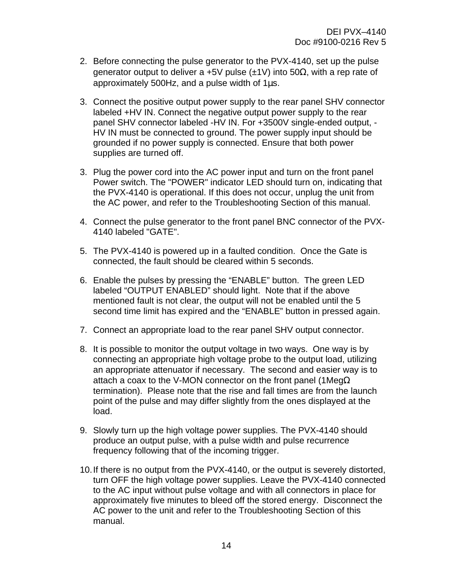- 2. Before connecting the pulse generator to the PVX-4140, set up the pulse generator output to deliver a +5V pulse (±1V) into 50 $\Omega$ , with a rep rate of approximately 500Hz, and a pulse width of  $1\mu s$ .
- 3. Connect the positive output power supply to the rear panel SHV connector labeled +HV IN. Connect the negative output power supply to the rear panel SHV connector labeled -HV IN. For +3500V single-ended output, - HV IN must be connected to ground. The power supply input should be grounded if no power supply is connected. Ensure that both power supplies are turned off.
- 3. Plug the power cord into the AC power input and turn on the front panel Power switch. The "POWER" indicator LED should turn on, indicating that the PVX-4140 is operational. If this does not occur, unplug the unit from the AC power, and refer to the Troubleshooting Section of this manual.
- 4. Connect the pulse generator to the front panel BNC connector of the PVX-4140 labeled "GATE".
- 5. The PVX-4140 is powered up in a faulted condition. Once the Gate is connected, the fault should be cleared within 5 seconds.
- 6. Enable the pulses by pressing the "ENABLE" button. The green LED labeled "OUTPUT ENABLED" should light. Note that if the above mentioned fault is not clear, the output will not be enabled until the 5 second time limit has expired and the "ENABLE" button in pressed again.
- 7. Connect an appropriate load to the rear panel SHV output connector.
- 8. It is possible to monitor the output voltage in two ways. One way is by connecting an appropriate high voltage probe to the output load, utilizing an appropriate attenuator if necessary. The second and easier way is to attach a coax to the V-MON connector on the front panel (1Meg $\Omega$ ) termination). Please note that the rise and fall times are from the launch point of the pulse and may differ slightly from the ones displayed at the load.
- 9. Slowly turn up the high voltage power supplies. The PVX-4140 should produce an output pulse, with a pulse width and pulse recurrence frequency following that of the incoming trigger.
- 10. If there is no output from the PVX-4140, or the output is severely distorted, turn OFF the high voltage power supplies. Leave the PVX-4140 connected to the AC input without pulse voltage and with all connectors in place for approximately five minutes to bleed off the stored energy. Disconnect the AC power to the unit and refer to the Troubleshooting Section of this manual.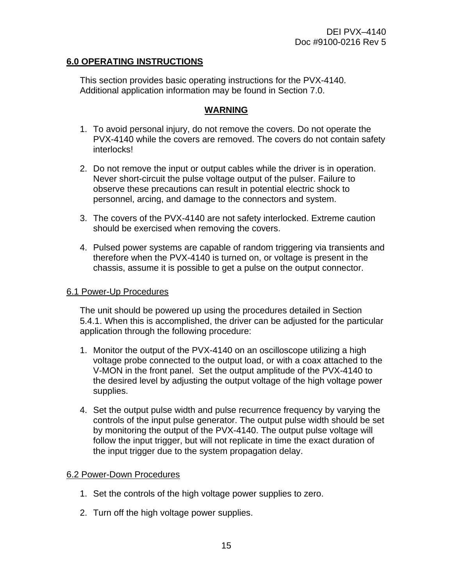### <span id="page-15-0"></span>**6.0 OPERATING INSTRUCTIONS**

This section provides basic operating instructions for the PVX-4140. Additional application information may be found in Section 7.0.

#### **WARNING**

- 1. To avoid personal injury, do not remove the covers. Do not operate the PVX-4140 while the covers are removed. The covers do not contain safety interlocks!
- 2. Do not remove the input or output cables while the driver is in operation. Never short-circuit the pulse voltage output of the pulser. Failure to observe these precautions can result in potential electric shock to personnel, arcing, and damage to the connectors and system.
- 3. The covers of the PVX-4140 are not safety interlocked. Extreme caution should be exercised when removing the covers.
- 4. Pulsed power systems are capable of random triggering via transients and therefore when the PVX-4140 is turned on, or voltage is present in the chassis, assume it is possible to get a pulse on the output connector.

#### 6.1 Power-Up Procedures

The unit should be powered up using the procedures detailed in Section 5.4.1. When this is accomplished, the driver can be adjusted for the particular application through the following procedure:

- 1. Monitor the output of the PVX-4140 on an oscilloscope utilizing a high voltage probe connected to the output load, or with a coax attached to the V-MON in the front panel. Set the output amplitude of the PVX-4140 to the desired level by adjusting the output voltage of the high voltage power supplies.
- 4. Set the output pulse width and pulse recurrence frequency by varying the controls of the input pulse generator. The output pulse width should be set by monitoring the output of the PVX-4140. The output pulse voltage will follow the input trigger, but will not replicate in time the exact duration of the input trigger due to the system propagation delay.

#### 6.2 Power-Down Procedures

- 1. Set the controls of the high voltage power supplies to zero.
- 2. Turn off the high voltage power supplies.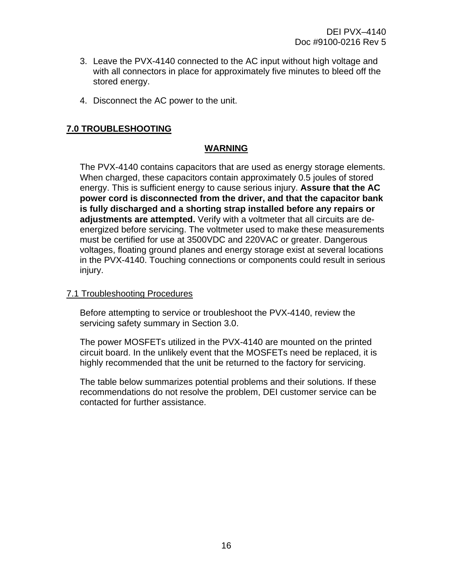- <span id="page-16-0"></span>3. Leave the PVX-4140 connected to the AC input without high voltage and with all connectors in place for approximately five minutes to bleed off the stored energy.
- 4. Disconnect the AC power to the unit.

### **7.0 TROUBLESHOOTING**

#### **WARNING**

The PVX-4140 contains capacitors that are used as energy storage elements. When charged, these capacitors contain approximately 0.5 joules of stored energy. This is sufficient energy to cause serious injury. **Assure that the AC power cord is disconnected from the driver, and that the capacitor bank is fully discharged and a shorting strap installed before any repairs or adjustments are attempted.** Verify with a voltmeter that all circuits are deenergized before servicing. The voltmeter used to make these measurements must be certified for use at 3500VDC and 220VAC or greater. Dangerous voltages, floating ground planes and energy storage exist at several locations in the PVX-4140. Touching connections or components could result in serious injury.

#### 7.1 Troubleshooting Procedures

Before attempting to service or troubleshoot the PVX-4140, review the servicing safety summary in Section 3.0.

The power MOSFETs utilized in the PVX-4140 are mounted on the printed circuit board. In the unlikely event that the MOSFETs need be replaced, it is highly recommended that the unit be returned to the factory for servicing.

The table below summarizes potential problems and their solutions. If these recommendations do not resolve the problem, DEI customer service can be contacted for further assistance.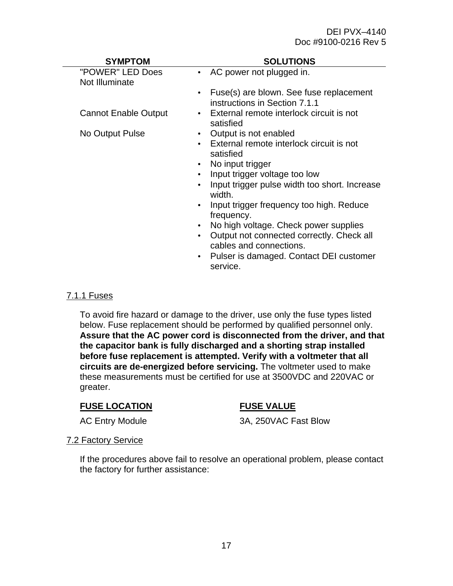#### DEI PVX–4140 Doc #9100-0216 Rev 5

<span id="page-17-0"></span>

| <b>SYMPTOM</b>                     | <b>SOLUTIONS</b>                                                                      |
|------------------------------------|---------------------------------------------------------------------------------------|
| "POWER" LED Does<br>Not Illuminate | AC power not plugged in.                                                              |
|                                    | Fuse(s) are blown. See fuse replacement<br>$\bullet$<br>instructions in Section 7.1.1 |
| <b>Cannot Enable Output</b>        | External remote interlock circuit is not<br>satisfied                                 |
| No Output Pulse                    | Output is not enabled                                                                 |
|                                    | External remote interlock circuit is not<br>satisfied                                 |
|                                    | No input trigger                                                                      |
|                                    | Input trigger voltage too low                                                         |
|                                    | Input trigger pulse width too short. Increase<br>$\bullet$<br>width.                  |
|                                    | Input trigger frequency too high. Reduce<br>frequency.                                |
|                                    | No high voltage. Check power supplies<br>$\bullet$                                    |
|                                    | Output not connected correctly. Check all<br>$\bullet$<br>cables and connections.     |
|                                    | Pulser is damaged. Contact DEI customer<br>service.                                   |

#### 7.1.1 Fuses

To avoid fire hazard or damage to the driver, use only the fuse types listed below. Fuse replacement should be performed by qualified personnel only. **Assure that the AC power cord is disconnected from the driver, and that the capacitor bank is fully discharged and a shorting strap installed before fuse replacement is attempted. Verify with a voltmeter that all circuits are de-energized before servicing.** The voltmeter used to make these measurements must be certified for use at 3500VDC and 220VAC or greater.

#### **FUSE LOCATION FUSE VALUE**

AC Entry Module 3A, 250VAC Fast Blow

#### 7.2 Factory Service

If the procedures above fail to resolve an operational problem, please contact the factory for further assistance: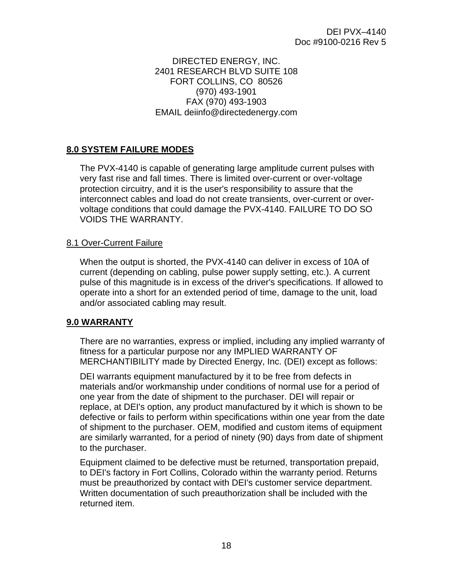#### DIRECTED ENERGY, INC. 2401 RESEARCH BLVD SUITE 108 FORT COLLINS, CO 80526 (970) 493-1901 FAX (970) 493-1903 EMAIL deiinfo@directedenergy.com

# <span id="page-18-0"></span>**8.0 SYSTEM FAILURE MODES**

The PVX-4140 is capable of generating large amplitude current pulses with very fast rise and fall times. There is limited over-current or over-voltage protection circuitry, and it is the user's responsibility to assure that the interconnect cables and load do not create transients, over-current or overvoltage conditions that could damage the PVX-4140. FAILURE TO DO SO VOIDS THE WARRANTY.

#### 8.1 Over-Current Failure

When the output is shorted, the PVX-4140 can deliver in excess of 10A of current (depending on cabling, pulse power supply setting, etc.). A current pulse of this magnitude is in excess of the driver's specifications. If allowed to operate into a short for an extended period of time, damage to the unit, load and/or associated cabling may result.

#### **9.0 WARRANTY**

There are no warranties, express or implied, including any implied warranty of fitness for a particular purpose nor any IMPLIED WARRANTY OF MERCHANTIBILITY made by Directed Energy, Inc. (DEI) except as follows:

DEI warrants equipment manufactured by it to be free from defects in materials and/or workmanship under conditions of normal use for a period of one year from the date of shipment to the purchaser. DEI will repair or replace, at DEI's option, any product manufactured by it which is shown to be defective or fails to perform within specifications within one year from the date of shipment to the purchaser. OEM, modified and custom items of equipment are similarly warranted, for a period of ninety (90) days from date of shipment to the purchaser.

Equipment claimed to be defective must be returned, transportation prepaid, to DEI's factory in Fort Collins, Colorado within the warranty period. Returns must be preauthorized by contact with DEI's customer service department. Written documentation of such preauthorization shall be included with the returned item.